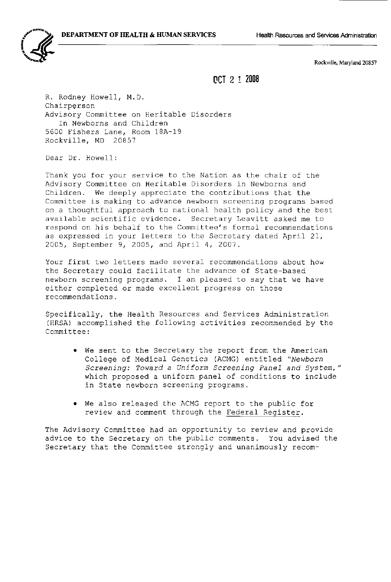

Rockville, Maryland 20857

## (leT 2 1 2008

R. Rodney Howell, M.D. Chairperson Advisory Committee on Heritable Disorders In Newborns and Children 5600 Fishers Lane, Room 18A-19 Rockville, MD 20857

Dear Dr. Howell:

Thank you for your service to the Nation as the chair of the Advisory Committee on Heritable Disorders in Newborns and Children. We deeply appreciate the contributions that the Committee is making to advance newborn screening programs based on a thoughtful approach to national health policy and the best available scientific evidence. Secretary Leavitt asked me to respond on his behalf to the Committee's formal recommendations as expressed in your letters to the Secretary dated April 21, 2005, September 9, 2005, and April 4, 2007.

Your first two letters made several recommendations about how the Secretary could facilitate the advance of State-based newborn screening programs. I am pleased to say that we have either completed or made excellent progress on those recommendations.

Specifically, the Health Resources and Services Administration (HRSA) accomplished the following activities recommended by the Committee:

- We sent to the Secretary the report from the American College of Medical Genetics (ACMG) entitled *"Newborn Screening: Toward a Uniform Screening Panel and System,"*  which proposed a uniform panel of conditions to include in State newborn screening programs.
- We also released the ACMG report to the public for review and comment through the Federal Register.

The Advisory Committee had an opportunity to review and provide advice to the Secretary on the public comments. You advised the Secretary that the Committee strongly and unanimously recom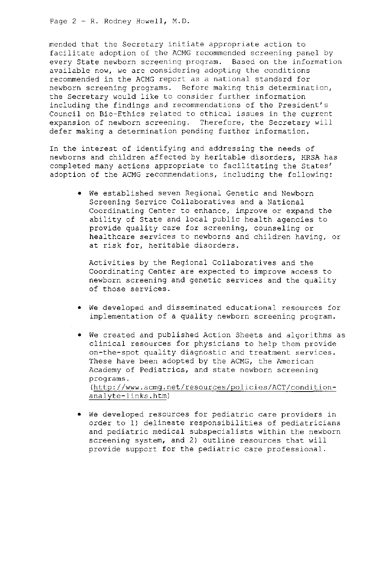Page  $2 - R$ . Rodney Howell, M.D.

mended that the Secretary initiate appropriate action to facilitate adoption of the ACMG recommended screening panel by every State newborn screening program. Based on the information available now, we are considering adopting the conditions recommended in the ACMG report as a national standard for newborn screening programs. Before making this determination, the Secretary would like to consider further information including the findings and recommendations of the President's Council on Bio-Ethics related to ethical issues in the current expansion of newborn screening. Therefore, the Secretary will defer making a determination pending further information.

In the interest of identifying and addressing the needs of newborns and children affected by heritable disorders, HRSA has completed many actions appropriate to facilitating the States' adoption of the ACMG recommendations, including the following:

• We established seven Regional Genetic and Newborn Screening Service Collaboratives and a National Coordinating Center to enhance, improve or expand the ability of State and local public health agencies to provide quality care for screening, counseling or healthcare services to newborns and children having, or at risk for, heritable disorders.

Activities by the Regional Collaboratives and the Coordinating Center are expected to improve access to newborn screening and genetic services and the quality of those services.

- We developed and disseminated educational resources for implementation of a quality newborn screening program.
- We created and published Action Sheets and algorithms as clinical resources for physicians to help them provide on-the-spot quality diagnostic and treatment services. These have been adopted by the ACMG, the American Academy of Pediatrics, and state newborn screening programs. (http://www.acmg.net/resources/policies/ACT/conditionanalyte-links.htm)
- We developed resources for pediatric care providers in order to 1) delineate responsibilities of pediatricians and pediatric medical subspecialists within the newborn screening system, and 2) outline resources that will provide support for the pediatric care professional.